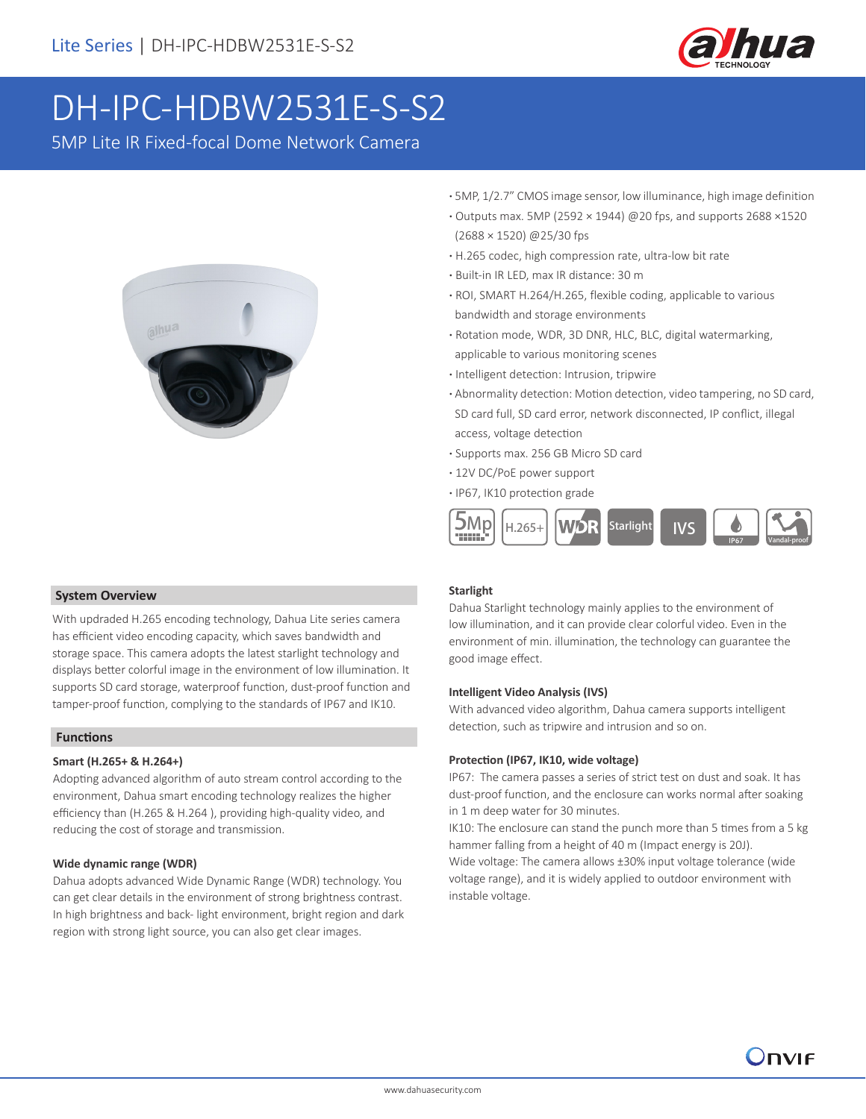

## DH-IPC-HDBW2531E-S-S2

5MP Lite IR Fixed-focal Dome Network Camera



- **·** 5MP, 1/2.7" CMOS image sensor, low illuminance, high image definition
- **·** Outputs max. 5MP (2592 × 1944) @20 fps, and supports 2688 ×1520 (2688 × 1520) @25/30 fps
- **·** H.265 codec, high compression rate, ultra-low bit rate
- **·** Built-in IR LED, max IR distance: 30 m
- **·** ROI, SMART H.264/H.265, flexible coding, applicable to various bandwidth and storage environments
- **·** Rotation mode, WDR, 3D DNR, HLC, BLC, digital watermarking, applicable to various monitoring scenes
- **·** Intelligent detection: Intrusion, tripwire
- **·** Abnormality detection: Motion detection, video tampering, no SD card, SD card full, SD card error, network disconnected, IP conflict, illegal access, voltage detection
- **·** Supports max. 256 GB Micro SD card
- **·** 12V DC/PoE power support
- **·** IP67, IK10 protection grade



#### **System Overview**

With updraded H.265 encoding technology, Dahua Lite series camera has efficient video encoding capacity, which saves bandwidth and storage space. This camera adopts the latest starlight technology and displays better colorful image in the environment of low illumination. It supports SD card storage, waterproof function, dust-proof function and tamper-proof function, complying to the standards of IP67 and IK10.

#### **Functions**

#### **Smart (H.265+ & H.264+)**

Adopting advanced algorithm of auto stream control according to the environment, Dahua smart encoding technology realizes the higher efficiency than (H.265 & H.264 ), providing high-quality video, and reducing the cost of storage and transmission.

#### **Wide dynamic range (WDR)**

Dahua adopts advanced Wide Dynamic Range (WDR) technology. You can get clear details in the environment of strong brightness contrast. In high brightness and back- light environment, bright region and dark region with strong light source, you can also get clear images.

#### **Starlight**

Dahua Starlight technology mainly applies to the environment of low illumination, and it can provide clear colorful video. Even in the environment of min. illumination, the technology can guarantee the good image effect.

#### **Intelligent Video Analysis (IVS)**

With advanced video algorithm, Dahua camera supports intelligent detection, such as tripwire and intrusion and so on.

#### **Protection (IP67, IK10, wide voltage)**

IP67: The camera passes a series of strict test on dust and soak. It has dust-proof function, and the enclosure can works normal after soaking in 1 m deep water for 30 minutes.

IK10: The enclosure can stand the punch more than 5 times from a 5 kg hammer falling from a height of 40 m (Impact energy is 20J).

Wide voltage: The camera allows ±30% input voltage tolerance (wide voltage range), and it is widely applied to outdoor environment with instable voltage.

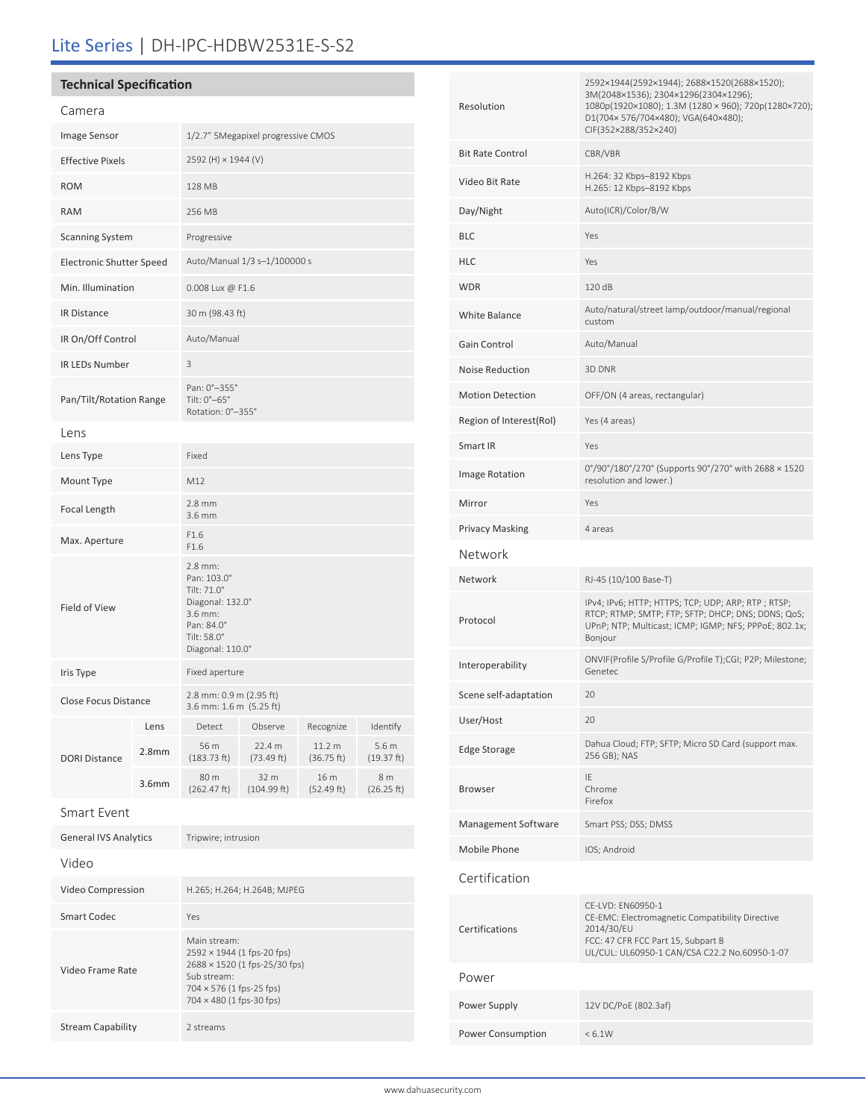### Lite Series | DH-IPC-HDBW2531E-S-S2

#### **Technical Specification**

| Camera                       |                   |                                                                                                                       |                      |                      |                     |  |
|------------------------------|-------------------|-----------------------------------------------------------------------------------------------------------------------|----------------------|----------------------|---------------------|--|
| Image Sensor                 |                   | 1/2.7" 5Megapixel progressive CMOS                                                                                    |                      |                      |                     |  |
| <b>Effective Pixels</b>      |                   | 2592 (H) × 1944 (V)                                                                                                   |                      |                      |                     |  |
| <b>ROM</b>                   |                   | 128 MB                                                                                                                |                      |                      |                     |  |
| <b>RAM</b>                   |                   | 256 MB                                                                                                                |                      |                      |                     |  |
| <b>Scanning System</b>       |                   | Progressive                                                                                                           |                      |                      |                     |  |
| Electronic Shutter Speed     |                   | Auto/Manual 1/3 s-1/100000 s                                                                                          |                      |                      |                     |  |
| Min. Illumination            |                   | 0.008 Lux @ F1.6                                                                                                      |                      |                      |                     |  |
| <b>IR Distance</b>           |                   | 30 m (98.43 ft)                                                                                                       |                      |                      |                     |  |
| IR On/Off Control            |                   | Auto/Manual                                                                                                           |                      |                      |                     |  |
| <b>IR LEDs Number</b>        |                   | 3                                                                                                                     |                      |                      |                     |  |
| Pan/Tilt/Rotation Range      |                   | Pan: 0°-355°<br>Tilt: $0^\circ - 65^\circ$<br>Rotation: 0°-355°                                                       |                      |                      |                     |  |
| Lens                         |                   |                                                                                                                       |                      |                      |                     |  |
| Lens Type                    |                   | Fixed                                                                                                                 |                      |                      |                     |  |
| Mount Type                   |                   | M12                                                                                                                   |                      |                      |                     |  |
| Focal Length                 |                   | $2.8$ mm<br>3.6 mm                                                                                                    |                      |                      |                     |  |
| Max. Aperture                |                   | F1.6<br>F1.6                                                                                                          |                      |                      |                     |  |
| Field of View                |                   | 2.8 mm:<br>Pan: 103.0°<br>Tilt: 71.0°<br>Diagonal: 132.0°<br>3.6 mm:<br>Pan: 84.0°<br>Tilt: 58.0°<br>Diagonal: 110.0° |                      |                      |                     |  |
| Iris Type                    |                   | Fixed aperture                                                                                                        |                      |                      |                     |  |
| <b>Close Focus Distance</b>  |                   | 2.8 mm: 0.9 m (2.95 ft)<br>3.6 mm: 1.6 m (5.25 ft)                                                                    |                      |                      |                     |  |
|                              | Lens              | Detect                                                                                                                | Observe              | Recognize            | Identify            |  |
| <b>DORI Distance</b>         | 2.8 <sub>mm</sub> | 56 m<br>(183.73 ft)                                                                                                   | 22.4 m<br>(73.49 ft) | 11.2 m<br>(36.75 ft) | 5.6 m<br>(19.37 ft) |  |
|                              | 3.6 <sub>mm</sub> | 80 m<br>(262.47 ft)                                                                                                   | 32 m<br>(104.99 ft)  | 16 m<br>(52.49 ft)   | 8 m<br>(26.25 ft)   |  |
| <b>Smart Event</b>           |                   |                                                                                                                       |                      |                      |                     |  |
| <b>General IVS Analytics</b> |                   | Tripwire; intrusion                                                                                                   |                      |                      |                     |  |
| Video                        |                   |                                                                                                                       |                      |                      |                     |  |
| Video Compression            |                   | H.265; H.264; H.264B; MJPEG                                                                                           |                      |                      |                     |  |
| <b>Smart Codec</b>           |                   | Yes                                                                                                                   |                      |                      |                     |  |
| Video Frame Rate             |                   | Main stream:<br>2592 × 1944 (1 fps-20 fps)<br>2688 × 1520 (1 fps-25/30 fps)<br>Sub stream:                            |                      |                      |                     |  |

704 × 576 (1 fps-25 fps) 704 × 480 (1 fps-30 fps)

Stream Capability 2 streams

| Resolution              | 2592×1944(2592×1944); 2688×1520(2688×1520);<br>3M(2048×1536); 2304×1296(2304×1296);<br>1080p(1920×1080); 1.3M (1280 × 960); 720p(1280×720);<br>D1(704x 576/704x480); VGA(640x480);<br>CIF(352×288/352×240) |  |  |
|-------------------------|------------------------------------------------------------------------------------------------------------------------------------------------------------------------------------------------------------|--|--|
| <b>Bit Rate Control</b> | CBR/VBR                                                                                                                                                                                                    |  |  |
| Video Bit Rate          | H.264: 32 Kbps-8192 Kbps<br>H.265: 12 Kbps-8192 Kbps                                                                                                                                                       |  |  |
| Day/Night               | Auto(ICR)/Color/B/W                                                                                                                                                                                        |  |  |
| <b>BLC</b>              | Yes                                                                                                                                                                                                        |  |  |
| <b>HLC</b>              | Yes                                                                                                                                                                                                        |  |  |
| <b>WDR</b>              | 120 dB                                                                                                                                                                                                     |  |  |
| <b>White Balance</b>    | Auto/natural/street lamp/outdoor/manual/regional<br>custom                                                                                                                                                 |  |  |
| Gain Control            | Auto/Manual                                                                                                                                                                                                |  |  |
| Noise Reduction         | 3D DNR                                                                                                                                                                                                     |  |  |
| <b>Motion Detection</b> | OFF/ON (4 areas, rectangular)                                                                                                                                                                              |  |  |
| Region of Interest(RoI) | Yes (4 areas)                                                                                                                                                                                              |  |  |
| Smart IR                | Yes                                                                                                                                                                                                        |  |  |
| Image Rotation          | 0°/90°/180°/270° (Supports 90°/270° with 2688 × 1520<br>resolution and lower.)                                                                                                                             |  |  |
| Mirror                  | Yes                                                                                                                                                                                                        |  |  |
| <b>Privacy Masking</b>  | 4 areas                                                                                                                                                                                                    |  |  |
| Network                 |                                                                                                                                                                                                            |  |  |
| Network                 | RJ-45 (10/100 Base-T)                                                                                                                                                                                      |  |  |
| Protocol                | IPv4; IPv6; HTTP; HTTPS; TCP; UDP; ARP; RTP; RTSP;<br>RTCP; RTMP; SMTP; FTP; SFTP; DHCP; DNS; DDNS; QoS;<br>UPnP; NTP; Multicast; ICMP; IGMP; NFS; PPPoE; 802.1x;<br>Bonjour                               |  |  |
| Interoperability        | ONVIF(Profile S/Profile G/Profile T);CGI; P2P; Milestone;<br>Genetec                                                                                                                                       |  |  |
| Scene self-adaptation   | 20                                                                                                                                                                                                         |  |  |
| User/Host               | 20                                                                                                                                                                                                         |  |  |
| <b>Edge Storage</b>     | Dahua Cloud; FTP; SFTP; Micro SD Card (support max.<br>256 GB); NAS                                                                                                                                        |  |  |
| <b>Browser</b>          | IE<br>Chrome<br>Firefox                                                                                                                                                                                    |  |  |
| Management Software     | Smart PSS; DSS; DMSS                                                                                                                                                                                       |  |  |
| Mobile Phone            | IOS; Android                                                                                                                                                                                               |  |  |
| Certification           |                                                                                                                                                                                                            |  |  |
| Certifications          | CE-LVD: EN60950-1<br>CE-EMC: Electromagnetic Compatibility Directive<br>2014/30/EU<br>FCC: 47 CFR FCC Part 15, Subpart B<br>UL/CUL: UL60950-1 CAN/CSA C22.2 No.60950-1-07                                  |  |  |
| Power                   |                                                                                                                                                                                                            |  |  |
| Power Supply            | 12V DC/PoE (802.3af)                                                                                                                                                                                       |  |  |
| Power Consumption       | < 6.1W                                                                                                                                                                                                     |  |  |